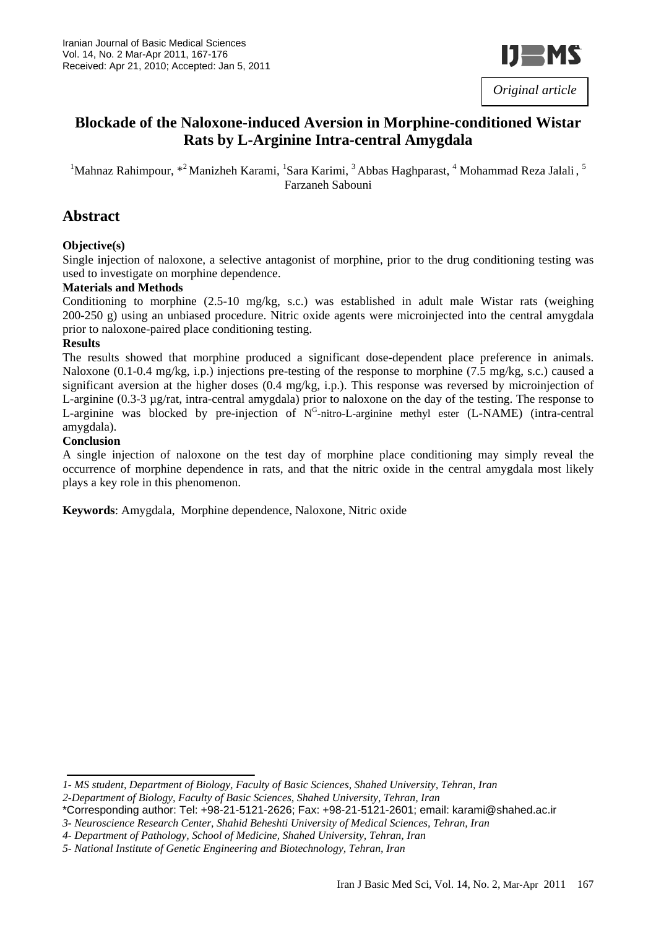

# **Blockade of the Naloxone-induced Aversion in Morphine-conditioned Wistar Rats by L-Arginine Intra-central Amygdala**

<sup>1</sup>Mahnaz Rahimpour, \*<sup>2</sup> Manizheh Karami, <sup>1</sup>Sara Karimi, <sup>3</sup> Abbas Haghparast, <sup>4</sup> Mohammad Reza Jalali, <sup>5</sup> Farzaneh Sabouni

# **Abstract**

#### **Objective(s)**

Single injection of naloxone, a selective antagonist of morphine, prior to the drug conditioning testing was used to investigate on morphine dependence.

#### **Materials and Methods**

Conditioning to morphine (2.5-10 mg/kg, s.c.) was established in adult male Wistar rats (weighing 200-250 g) using an unbiased procedure. Nitric oxide agents were microinjected into the central amygdala prior to naloxone-paired place conditioning testing.

#### **Results**

The results showed that morphine produced a significant dose-dependent place preference in animals. Naloxone (0.1-0.4 mg/kg, i.p.) injections pre-testing of the response to morphine (7.5 mg/kg, s.c.) caused a significant aversion at the higher doses (0.4 mg/kg, i.p.). This response was reversed by microinjection of L-arginine (0.3-3 µg/rat, intra-central amygdala) prior to naloxone on the day of the testing. The response to L-arginine was blocked by pre-injection of N<sup>G</sup>-nitro-L-arginine methyl ester (L-NAME) (intra-central amygdala).

#### **Conclusion**

A single injection of naloxone on the test day of morphine place conditioning may simply reveal the occurrence of morphine dependence in rats, and that the nitric oxide in the central amygdala most likely plays a key role in this phenomenon.

**Keywords**: Amygdala, Morphine dependence, Naloxone, Nitric oxide

*<sup>1-</sup> MS student, Department of Biology, Faculty of Basic Sciences, Shahed University, Tehran, Iran* 

*<sup>2-</sup>Department of Biology, Faculty of Basic Sciences, Shahed University, Tehran, Iran* 

<sup>\*</sup>Corresponding author: Tel: +98-21-5121-2626; Fax: +98-21-5121-2601; email: karami@shahed.ac.ir

*<sup>3-</sup> Neuroscience Research Center, Shahid Beheshti University of Medical Sciences, Tehran, Iran* 

*<sup>4-</sup> Department of Pathology, School of Medicine, Shahed University, Tehran, Iran*

*<sup>5-</sup> National Institute of Genetic Engineering and Biotechnology, Tehran, Iran*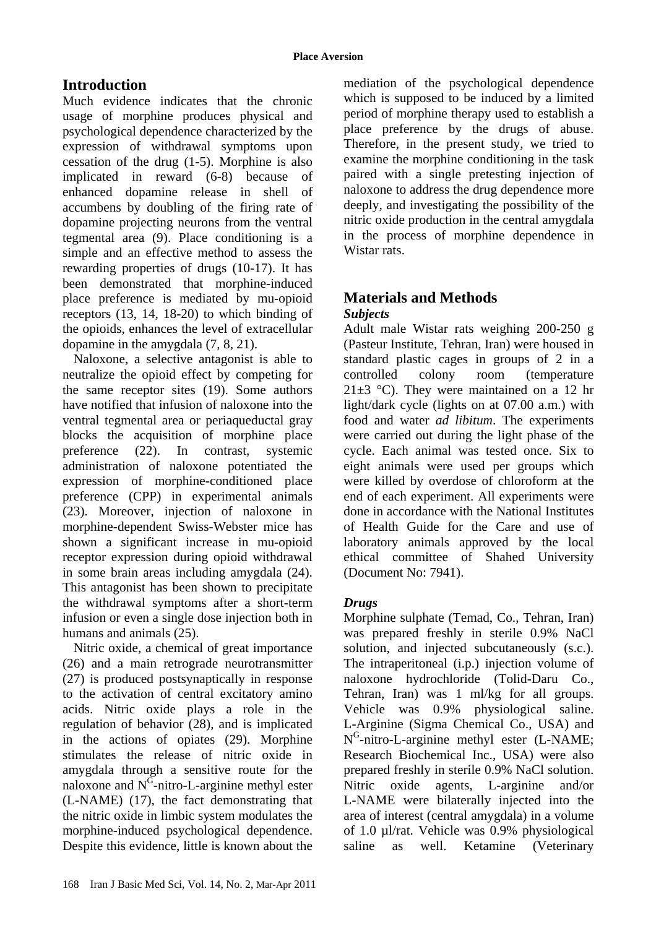# **Introduction**

Much evidence indicates that the chronic usage of morphine produces physical and psychological dependence characterized by the expression of withdrawal symptoms upon cessation of the drug (1-5). Morphine is also implicated in reward (6-8) because of enhanced dopamine release in shell of accumbens by doubling of the firing rate of dopamine projecting neurons from the ventral tegmental area (9). Place conditioning is a simple and an effective method to assess the rewarding properties of drugs (10-17). It has been demonstrated that morphine-induced place preference is mediated by mu-opioid receptors (13, 14, 18-20) to which binding of the opioids, enhances the level of extracellular dopamine in the amygdala (7, 8, 21).

Naloxone, a selective antagonist is able to neutralize the opioid effect by competing for the same receptor sites (19). Some authors have notified that infusion of naloxone into the ventral tegmental area or periaqueductal gray blocks the acquisition of morphine place preference (22). In contrast, systemic administration of naloxone potentiated the expression of morphine-conditioned place preference (CPP) in experimental animals (23). Moreover, injection of naloxone in morphine-dependent Swiss-Webster mice has shown a significant increase in mu-opioid receptor expression during opioid withdrawal in some brain areas including amygdala (24). This antagonist has been shown to precipitate the withdrawal symptoms after a short-term infusion or even a single dose injection both in humans and animals (25).

Nitric oxide, a chemical of great importance (26) and a main retrograde neurotransmitter (27) is produced postsynaptically in response to the activation of central excitatory amino acids. Nitric oxide plays a role in the regulation of behavior (28), and is implicated in the actions of opiates (29). Morphine stimulates the release of nitric oxide in amygdala through a sensitive route for the naloxone and  $N^{\overline{G}}$ -nitro-L-arginine methyl ester (L-NAME) (17), the fact demonstrating that the nitric oxide in limbic system modulates the morphine-induced psychological dependence. Despite this evidence, little is known about the mediation of the psychological dependence which is supposed to be induced by a limited period of morphine therapy used to establish a place preference by the drugs of abuse. Therefore, in the present study, we tried to examine the morphine conditioning in the task paired with a single pretesting injection of naloxone to address the drug dependence more deeply, and investigating the possibility of the nitric oxide production in the central amygdala in the process of morphine dependence in Wistar rats.

# **Materials and Methods**  *Subjects*

Adult male Wistar rats weighing 200-250 g (Pasteur Institute, Tehran, Iran) were housed in standard plastic cages in groups of 2 in a controlled colony room (temperature 21 $\pm$ 3 °C). They were maintained on a 12 hr light/dark cycle (lights on at 07.00 a.m.) with food and water *ad libitum*. The experiments were carried out during the light phase of the cycle. Each animal was tested once. Six to eight animals were used per groups which were killed by overdose of chloroform at the end of each experiment. All experiments were done in accordance with the National Institutes of Health Guide for the Care and use of laboratory animals approved by the local ethical committee of Shahed University (Document No: 7941).

# *Drugs*

Morphine sulphate (Temad, Co., Tehran, Iran) was prepared freshly in sterile 0.9% NaCl solution, and injected subcutaneously (s.c.). The intraperitoneal (i.p.) injection volume of naloxone hydrochloride (Tolid-Daru Co., Tehran, Iran) was 1 ml/kg for all groups. Vehicle was 0.9% physiological saline. L-Arginine (Sigma Chemical Co., USA) and  $N<sup>G</sup>$ -nitro-L-arginine methyl ester (L-NAME; Research Biochemical Inc., USA) were also prepared freshly in sterile 0.9% NaCl solution. Nitric oxide agents, L-arginine and/or L-NAME were bilaterally injected into the area of interest (central amygdala) in a volume of 1.0 µl/rat. Vehicle was 0.9% physiological saline as well. Ketamine (Veterinary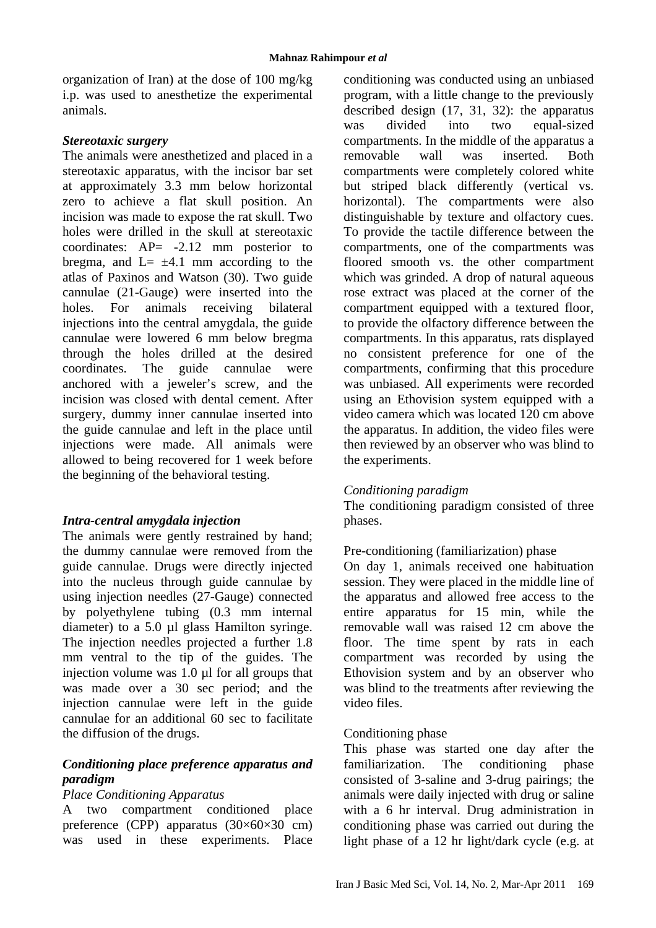organization of Iran) at the dose of 100 mg/kg i.p. was used to anesthetize the experimental animals.

#### *Stereotaxic surgery*

The animals were anesthetized and placed in a stereotaxic apparatus, with the incisor bar set at approximately 3.3 mm below horizontal zero to achieve a flat skull position. An incision was made to expose the rat skull. Two holes were drilled in the skull at stereotaxic coordinates: AP= -2.12 mm posterior to bregma, and  $L = \pm 4.1$  mm according to the atlas of Paxinos and Watson (30). Two guide cannulae (21-Gauge) were inserted into the holes. For animals receiving bilateral injections into the central amygdala, the guide cannulae were lowered 6 mm below bregma through the holes drilled at the desired coordinates. The guide cannulae were anchored with a jeweler's screw, and the incision was closed with dental cement. After surgery, dummy inner cannulae inserted into the guide cannulae and left in the place until injections were made. All animals were allowed to being recovered for 1 week before the beginning of the behavioral testing.

# *Intra-central amygdala injection*

The animals were gently restrained by hand; the dummy cannulae were removed from the guide cannulae. Drugs were directly injected into the nucleus through guide cannulae by using injection needles (27-Gauge) connected by polyethylene tubing (0.3 mm internal diameter) to a 5.0 µl glass Hamilton syringe. The injection needles projected a further 1.8 mm ventral to the tip of the guides. The injection volume was 1.0 µl for all groups that was made over a 30 sec period; and the injection cannulae were left in the guide cannulae for an additional 60 sec to facilitate the diffusion of the drugs.

# *Conditioning place preference apparatus and paradigm*

#### *Place Conditioning Apparatus*

A two compartment conditioned place preference (CPP) apparatus  $(30\times60\times30$  cm) was used in these experiments. Place conditioning was conducted using an unbiased program, with a little change to the previously described design (17, 31, 32): the apparatus was divided into two equal-sized compartments. In the middle of the apparatus a removable wall was inserted. Both compartments were completely colored white but striped black differently (vertical vs. horizontal). The compartments were also distinguishable by texture and olfactory cues. To provide the tactile difference between the compartments, one of the compartments was floored smooth vs. the other compartment which was grinded. A drop of natural aqueous rose extract was placed at the corner of the compartment equipped with a textured floor, to provide the olfactory difference between the compartments. In this apparatus, rats displayed no consistent preference for one of the compartments, confirming that this procedure was unbiased. All experiments were recorded using an Ethovision system equipped with a video camera which was located 120 cm above the apparatus. In addition, the video files were then reviewed by an observer who was blind to the experiments.

# *Conditioning paradigm*

The conditioning paradigm consisted of three phases.

# Pre-conditioning (familiarization) phase

On day 1, animals received one habituation session. They were placed in the middle line of the apparatus and allowed free access to the entire apparatus for 15 min, while the removable wall was raised 12 cm above the floor. The time spent by rats in each compartment was recorded by using the Ethovision system and by an observer who was blind to the treatments after reviewing the video files.

#### Conditioning phase

This phase was started one day after the familiarization. The conditioning phase consisted of 3-saline and 3-drug pairings; the animals were daily injected with drug or saline with a 6 hr interval. Drug administration in conditioning phase was carried out during the light phase of a 12 hr light/dark cycle (e.g. at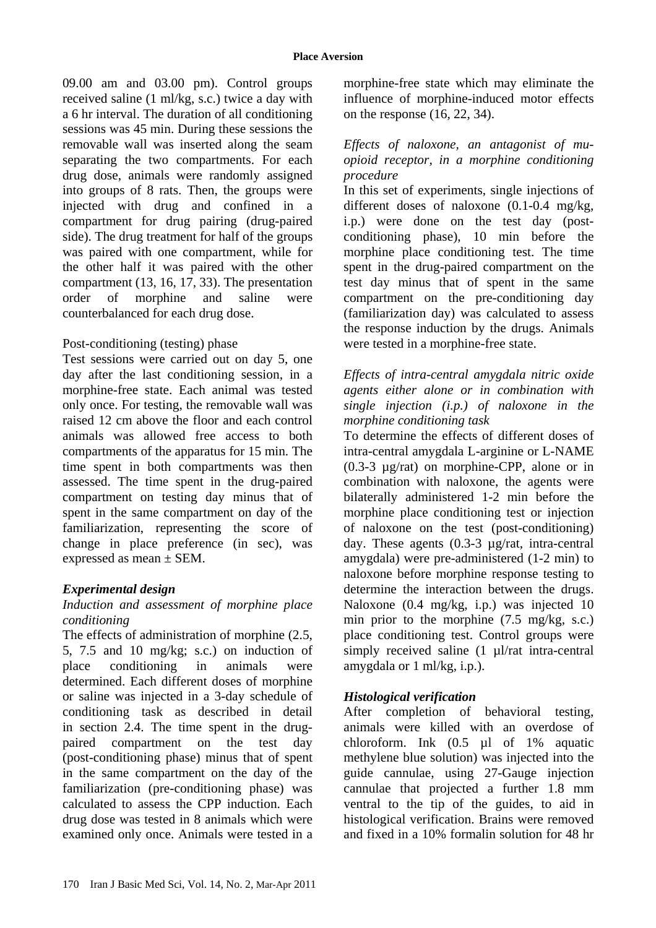09.00 am and 03.00 pm). Control groups received saline (1 ml/kg, s.c.) twice a day with a 6 hr interval. The duration of all conditioning sessions was 45 min. During these sessions the removable wall was inserted along the seam separating the two compartments. For each drug dose, animals were randomly assigned into groups of 8 rats. Then, the groups were injected with drug and confined in a compartment for drug pairing (drug-paired side). The drug treatment for half of the groups was paired with one compartment, while for the other half it was paired with the other compartment (13, 16, 17, 33). The presentation order of morphine and saline were counterbalanced for each drug dose.

# Post-conditioning (testing) phase

Test sessions were carried out on day 5, one day after the last conditioning session, in a morphine-free state. Each animal was tested only once. For testing, the removable wall was raised 12 cm above the floor and each control animals was allowed free access to both compartments of the apparatus for 15 min. The time spent in both compartments was then assessed. The time spent in the drug-paired compartment on testing day minus that of spent in the same compartment on day of the familiarization, representing the score of change in place preference (in sec), was expressed as mean ± SEM.

# *Experimental design*

# *Induction and assessment of morphine place conditioning*

The effects of administration of morphine (2.5, 5, 7.5 and 10 mg/kg; s.c.) on induction of place conditioning in animals were determined. Each different doses of morphine or saline was injected in a 3-day schedule of conditioning task as described in detail in section 2.4. The time spent in the drugpaired compartment on the test day (post-conditioning phase) minus that of spent in the same compartment on the day of the familiarization (pre-conditioning phase) was calculated to assess the CPP induction. Each drug dose was tested in 8 animals which were examined only once. Animals were tested in a

morphine-free state which may eliminate the influence of morphine-induced motor effects on the response (16, 22, 34).

#### *Effects of naloxone, an antagonist of muopioid receptor, in a morphine conditioning procedure*

In this set of experiments, single injections of different doses of naloxone (0.1-0.4 mg/kg, i.p.) were done on the test day (postconditioning phase), 10 min before the morphine place conditioning test. The time spent in the drug-paired compartment on the test day minus that of spent in the same compartment on the pre-conditioning day (familiarization day) was calculated to assess the response induction by the drugs. Animals were tested in a morphine-free state.

#### *Effects of intra-central amygdala nitric oxide agents either alone or in combination with single injection (i.p.) of naloxone in the morphine conditioning task*

To determine the effects of different doses of intra-central amygdala L-arginine or L-NAME (0.3-3 µg/rat) on morphine-CPP, alone or in combination with naloxone, the agents were bilaterally administered 1-2 min before the morphine place conditioning test or injection of naloxone on the test (post-conditioning) day. These agents (0.3-3 µg/rat, intra-central amygdala) were pre-administered (1-2 min) to naloxone before morphine response testing to determine the interaction between the drugs. Naloxone (0.4 mg/kg, i.p.) was injected 10 min prior to the morphine  $(7.5 \text{ mg/kg}, \text{ s.c.})$ place conditioning test. Control groups were simply received saline (1 µl/rat intra-central amygdala or 1 ml/kg, i.p.).

# *Histological verification*

After completion of behavioral testing, animals were killed with an overdose of chloroform. Ink (0.5 µl of 1% aquatic methylene blue solution) was injected into the guide cannulae, using 27-Gauge injection cannulae that projected a further 1.8 mm ventral to the tip of the guides, to aid in histological verification. Brains were removed and fixed in a 10% formalin solution for 48 hr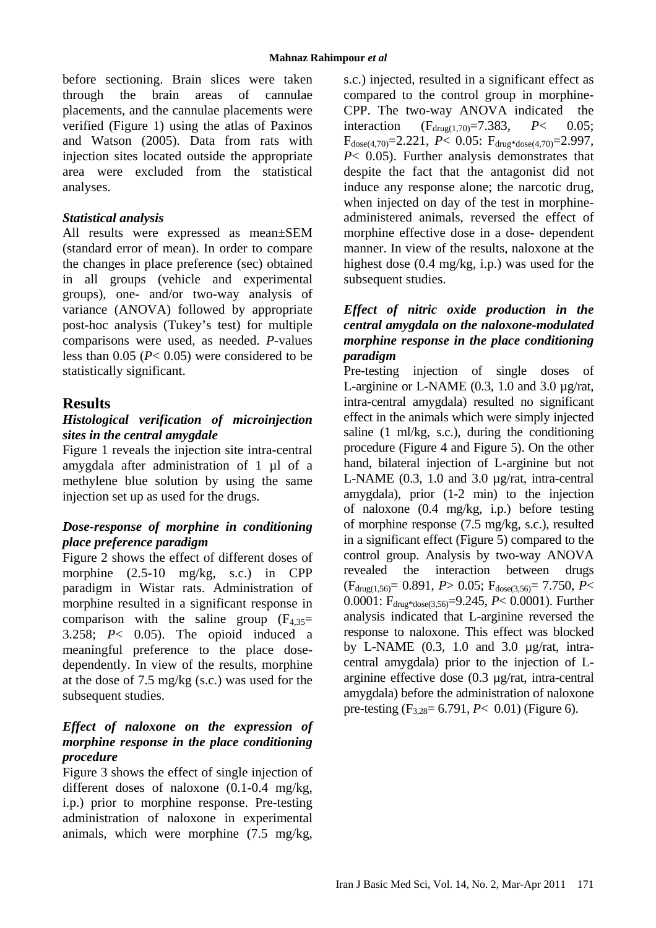before sectioning. Brain slices were taken through the brain areas of cannulae placements, and the cannulae placements were verified (Figure 1) using the atlas of Paxinos and Watson (2005). Data from rats with injection sites located outside the appropriate area were excluded from the statistical analyses.

#### *Statistical analysis*

All results were expressed as mean±SEM (standard error of mean). In order to compare the changes in place preference (sec) obtained in all groups (vehicle and experimental groups), one- and/or two-way analysis of variance (ANOVA) followed by appropriate post-hoc analysis (Tukey's test) for multiple comparisons were used, as needed. *P*-values less than 0.05 (*P*< 0.05) were considered to be statistically significant.

# **Results**

#### *Histological verification of microinjection sites in the central amygdale*

Figure 1 reveals the injection site intra-central amygdala after administration of 1 µl of a methylene blue solution by using the same injection set up as used for the drugs.

#### *Dose-response of morphine in conditioning place preference paradigm*

Figure 2 shows the effect of different doses of morphine (2.5-10 mg/kg, s.c.) in CPP paradigm in Wistar rats. Administration of morphine resulted in a significant response in comparison with the saline group  $(F_{4,35}$ = 3.258; *P*< 0.05). The opioid induced a meaningful preference to the place dosedependently. In view of the results, morphine at the dose of 7.5 mg/kg (s.c.) was used for the subsequent studies.

#### *Effect of naloxone on the expression of morphine response in the place conditioning procedure*

Figure 3 shows the effect of single injection of different doses of naloxone (0.1-0.4 mg/kg, i.p.) prior to morphine response. Pre-testing administration of naloxone in experimental animals, which were morphine (7.5 mg/kg, s.c.) injected, resulted in a significant effect as compared to the control group in morphine-CPP. The two-way ANOVA indicated the interaction  $(F_{\text{drug}(1.70)} = 7.383, P < 0.05;$  $F_{dose(4.70)} = 2.221$ ,  $P < 0.05$ :  $F_{dmg*dose(4.70)} = 2.997$ , *P*< 0.05). Further analysis demonstrates that despite the fact that the antagonist did not induce any response alone; the narcotic drug, when injected on day of the test in morphineadministered animals, reversed the effect of morphine effective dose in a dose- dependent manner. In view of the results, naloxone at the highest dose (0.4 mg/kg, i.p.) was used for the subsequent studies.

# *Effect of nitric oxide production in the central amygdala on the naloxone-modulated morphine response in the place conditioning paradigm*

Pre-testing injection of single doses of L-arginine or L-NAME  $(0.3, 1.0, \text{ and } 3.0, \mu g/\text{rat})$ , intra-central amygdala) resulted no significant effect in the animals which were simply injected saline (1 ml/kg, s.c.), during the conditioning procedure (Figure 4 and Figure 5). On the other hand, bilateral injection of L-arginine but not L-NAME (0.3, 1.0 and 3.0 µg/rat, intra-central amygdala), prior (1-2 min) to the injection of naloxone (0.4 mg/kg, i.p.) before testing of morphine response (7.5 mg/kg, s.c.), resulted in a significant effect (Figure 5) compared to the control group. Analysis by two-way ANOVA revealed the interaction between drugs (Fdrug(1,56)= 0.891, *P*> 0.05; Fdose(3,56)= 7.750, *P*< 0.0001: Fdrug\*dose(3,56)=9.245, *P*< 0.0001). Further analysis indicated that L-arginine reversed the response to naloxone. This effect was blocked by L-NAME (0.3, 1.0 and 3.0 µg/rat, intracentral amygdala) prior to the injection of Larginine effective dose (0.3 µg/rat, intra-central amygdala) before the administration of naloxone pre-testing (F3,28= 6.791, *P*< 0.01) (Figure 6).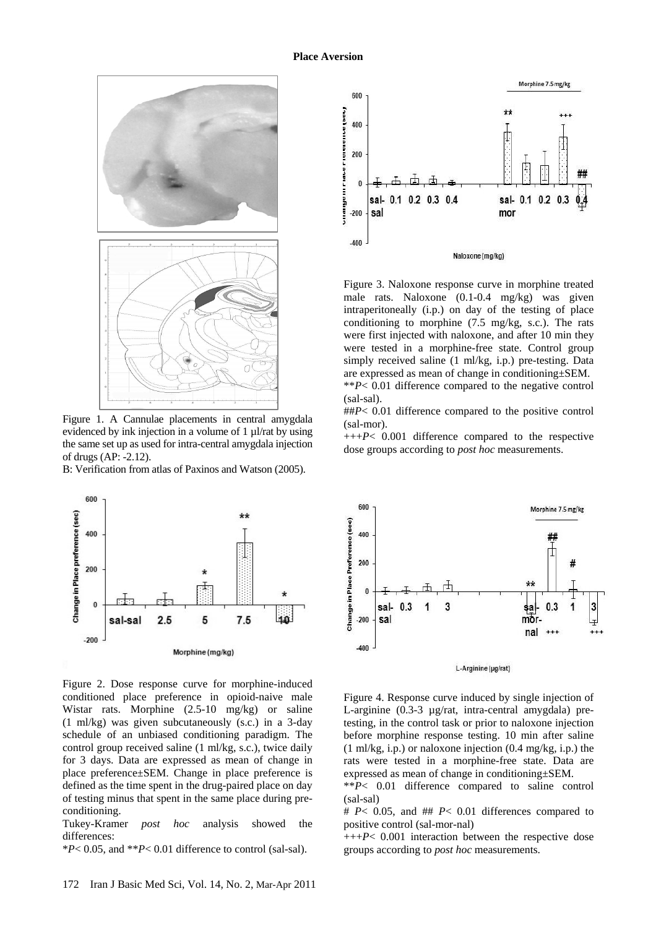

Figure 1. A Cannulae placements in central amygdala evidenced by ink injection in a volume of  $1 \mu$ l/rat by using the same set up as used for intra-central amygdala injection of drugs (AP: -2.12).

B: Verification from atlas of Paxinos and Watson (2005).



Figure 2. Dose response curve for morphine-induced conditioned place preference in opioid-naive male Wistar rats. Morphine (2.5-10 mg/kg) or saline (1 ml/kg) was given subcutaneously (s.c.) in a 3-day schedule of an unbiased conditioning paradigm. The control group received saline (1 ml/kg, s.c.), twice daily for 3 days. Data are expressed as mean of change in place preference±SEM. Change in place preference is defined as the time spent in the drug-paired place on day of testing minus that spent in the same place during preconditioning.

Tukey-Kramer *post hoc* analysis showed the differences:

\**P*< 0.05, and \*\**P*< 0.01 difference to control (sal-sal).



Figure 3. Naloxone response curve in morphine treated male rats. Naloxone (0.1-0.4 mg/kg) was given intraperitoneally (i.p.) on day of the testing of place conditioning to morphine (7.5 mg/kg, s.c.). The rats were first injected with naloxone, and after 10 min they were tested in a morphine-free state. Control group simply received saline (1 ml/kg, i.p.) pre-testing. Data are expressed as mean of change in conditioning±SEM. \*\**P*< 0.01 difference compared to the negative control

(sal-sal).

##*P*< 0.01 difference compared to the positive control (sal-mor).

+++*P*< 0.001 difference compared to the respective dose groups according to *post hoc* measurements.



Figure 4. Response curve induced by single injection of L-arginine (0.3-3 µg/rat, intra-central amygdala) pretesting, in the control task or prior to naloxone injection before morphine response testing. 10 min after saline (1 ml/kg, i.p.) or naloxone injection (0.4 mg/kg, i.p.) the rats were tested in a morphine-free state. Data are expressed as mean of change in conditioning±SEM.

\*\**P*< 0.01 difference compared to saline control (sal-sal)

# *P*< 0.05, and ## *P*< 0.01 differences compared to positive control (sal-mor-nal)

+++*P*< 0.001 interaction between the respective dose groups according to *post hoc* measurements.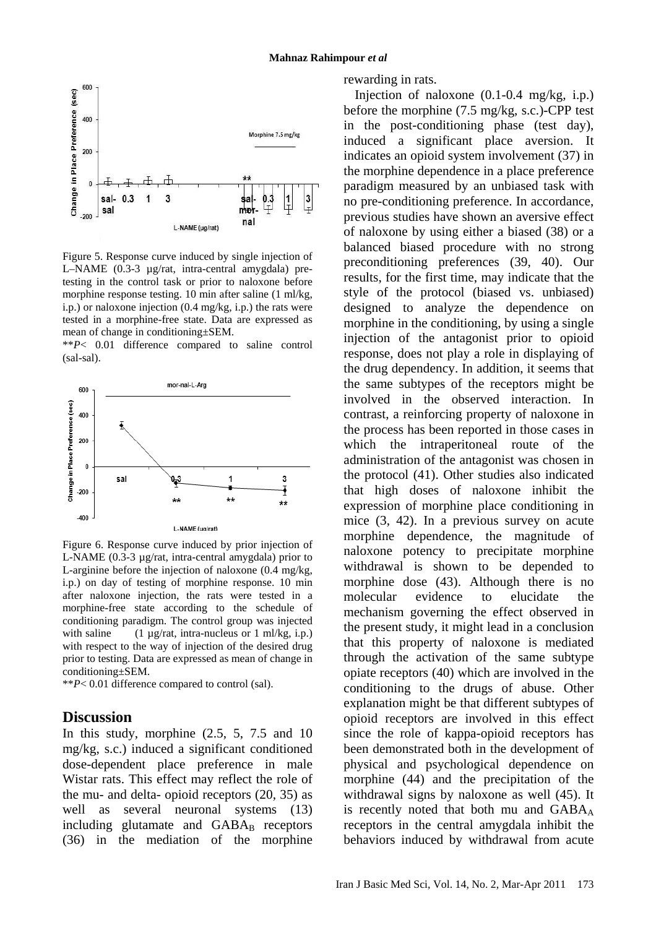

Figure 5. Response curve induced by single injection of L–NAME (0.3-3 µg/rat, intra-central amygdala) pretesting in the control task or prior to naloxone before morphine response testing. 10 min after saline (1 ml/kg, i.p.) or naloxone injection (0.4 mg/kg, i.p.) the rats were tested in a morphine-free state. Data are expressed as mean of change in conditioning±SEM.

\*\**P*< 0.01 difference compared to saline control (sal-sal).



Figure 6. Response curve induced by prior injection of L-NAME (0.3-3 µg/rat, intra-central amygdala) prior to L-arginine before the injection of naloxone (0.4 mg/kg, i.p.) on day of testing of morphine response. 10 min after naloxone injection, the rats were tested in a morphine-free state according to the schedule of conditioning paradigm. The control group was injected with saline  $(1 \mu g/rat, \text{intra-nucleus or } 1 \text{ ml/kg}, \text{i.p.})$ with respect to the way of injection of the desired drug prior to testing. Data are expressed as mean of change in conditioning±SEM.

\*\**P*< 0.01 difference compared to control (sal).

# **Discussion**

In this study, morphine (2.5, 5, 7.5 and 10 mg/kg, s.c.) induced a significant conditioned dose-dependent place preference in male Wistar rats. This effect may reflect the role of the mu- and delta- opioid receptors (20, 35) as well as several neuronal systems (13) including glutamate and  $GABA_B$  receptors (36) in the mediation of the morphine rewarding in rats.

Injection of naloxone  $(0.1\n-0.4 \text{ mg/kg}, i.p.)$ before the morphine (7.5 mg/kg, s.c.)-CPP test in the post-conditioning phase (test day), induced a significant place aversion. It indicates an opioid system involvement (37) in the morphine dependence in a place preference paradigm measured by an unbiased task with no pre-conditioning preference. In accordance, previous studies have shown an aversive effect of naloxone by using either a biased (38) or a balanced biased procedure with no strong preconditioning preferences (39, 40). Our results, for the first time, may indicate that the style of the protocol (biased vs. unbiased) designed to analyze the dependence on morphine in the conditioning, by using a single injection of the antagonist prior to opioid response, does not play a role in displaying of the drug dependency. In addition, it seems that the same subtypes of the receptors might be involved in the observed interaction. In contrast, a reinforcing property of naloxone in the process has been reported in those cases in which the intraperitoneal route of the administration of the antagonist was chosen in the protocol (41). Other studies also indicated that high doses of naloxone inhibit the expression of morphine place conditioning in mice (3, 42). In a previous survey on acute morphine dependence, the magnitude of naloxone potency to precipitate morphine withdrawal is shown to be depended to morphine dose (43). Although there is no molecular evidence to elucidate the mechanism governing the effect observed in the present study, it might lead in a conclusion that this property of naloxone is mediated through the activation of the same subtype opiate receptors (40) which are involved in the conditioning to the drugs of abuse. Other explanation might be that different subtypes of opioid receptors are involved in this effect since the role of kappa-opioid receptors has been demonstrated both in the development of physical and psychological dependence on morphine (44) and the precipitation of the withdrawal signs by naloxone as well (45). It is recently noted that both mu and  $GABA_A$ receptors in the central amygdala inhibit the behaviors induced by withdrawal from acute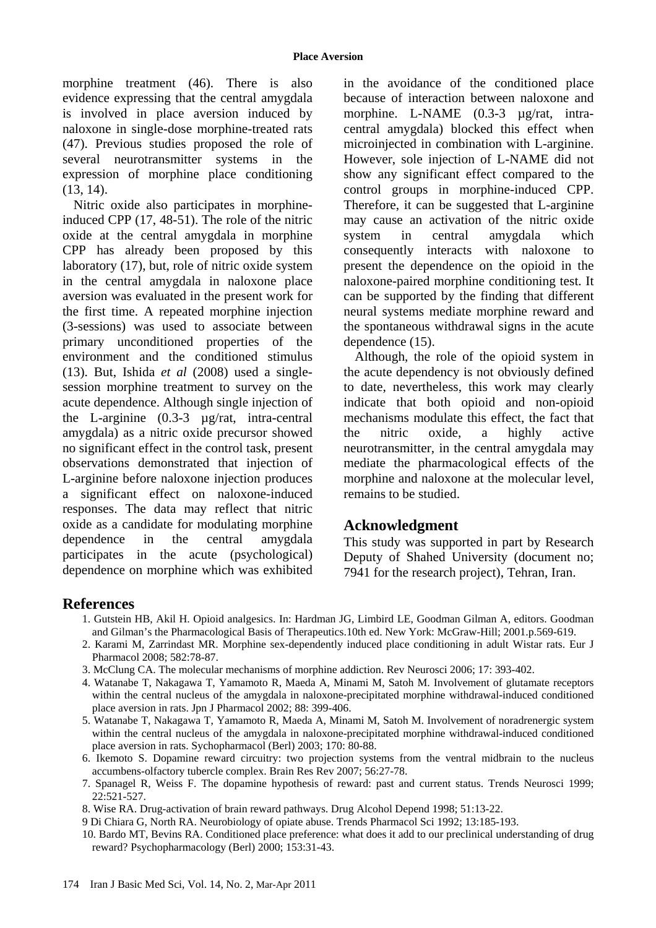morphine treatment (46). There is also evidence expressing that the central amygdala is involved in place aversion induced by naloxone in single-dose morphine-treated rats (47). Previous studies proposed the role of several neurotransmitter systems in the expression of morphine place conditioning (13, 14).

Nitric oxide also participates in morphineinduced CPP (17, 48-51). The role of the nitric oxide at the central amygdala in morphine CPP has already been proposed by this laboratory (17), but, role of nitric oxide system in the central amygdala in naloxone place aversion was evaluated in the present work for the first time. A repeated morphine injection (3-sessions) was used to associate between primary unconditioned properties of the environment and the conditioned stimulus (13). But, Ishida *et al* (2008) used a singlesession morphine treatment to survey on the acute dependence. Although single injection of the L-arginine (0.3-3 µg/rat, intra-central amygdala) as a nitric oxide precursor showed no significant effect in the control task, present observations demonstrated that injection of L-arginine before naloxone injection produces a significant effect on naloxone-induced responses. The data may reflect that nitric oxide as a candidate for modulating morphine dependence in the central amygdala participates in the acute (psychological) dependence on morphine which was exhibited

in the avoidance of the conditioned place because of interaction between naloxone and morphine. L-NAME (0.3-3 µg/rat, intracentral amygdala) blocked this effect when microinjected in combination with L-arginine. However, sole injection of L-NAME did not show any significant effect compared to the control groups in morphine-induced CPP. Therefore, it can be suggested that L-arginine may cause an activation of the nitric oxide system in central amygdala which consequently interacts with naloxone to present the dependence on the opioid in the naloxone-paired morphine conditioning test. It can be supported by the finding that different neural systems mediate morphine reward and the spontaneous withdrawal signs in the acute dependence (15).

Although, the role of the opioid system in the acute dependency is not obviously defined to date, nevertheless, this work may clearly indicate that both opioid and non-opioid mechanisms modulate this effect, the fact that the nitric oxide, a highly active neurotransmitter, in the central amygdala may mediate the pharmacological effects of the morphine and naloxone at the molecular level, remains to be studied.

# **Acknowledgment**

This study was supported in part by Research Deputy of Shahed University (document no; 7941 for the research project), Tehran, Iran.

# **References**

- 1. Gutstein HB, Akil H. Opioid analgesics. In: Hardman JG, Limbird LE, Goodman Gilman A, editors. Goodman and Gilman's the Pharmacological Basis of Therapeutics.10th ed. New York: McGraw-Hill; 2001.p.569-619.
- 2. Karami M, Zarrindast MR. Morphine sex-dependently induced place conditioning in adult Wistar rats. Eur J Pharmacol 2008; 582:78-87.
- 3. McClung CA. The molecular mechanisms of morphine addiction. Rev Neurosci 2006; 17: 393-402.
- 4. Watanabe T, Nakagawa T, Yamamoto R, Maeda A, Minami M, Satoh M. Involvement of glutamate receptors within the central nucleus of the amygdala in naloxone-precipitated morphine withdrawal-induced conditioned place aversion in rats. Jpn J Pharmacol 2002; 88: 399-406.
- 5. Watanabe T, Nakagawa T, Yamamoto R, Maeda A, Minami M, Satoh M. Involvement of noradrenergic system within the central nucleus of the amygdala in naloxone-precipitated morphine withdrawal-induced conditioned place aversion in rats. Sychopharmacol (Berl) 2003; 170: 80-88.
- 6. Ikemoto S. Dopamine reward circuitry: two projection systems from the ventral midbrain to the nucleus accumbens-olfactory tubercle complex. Brain Res Rev 2007; 56:27-78.
- 7. Spanagel R, Weiss F. The dopamine hypothesis of reward: past and current status. Trends Neurosci 1999; 22:521-527.
- 8. Wise RA. Drug-activation of brain reward pathways. Drug Alcohol Depend 1998; 51:13-22.
- 9 Di Chiara G, North RA. Neurobiology of opiate abuse. Trends Pharmacol Sci 1992; 13:185-193.
- 10. Bardo MT, Bevins RA. Conditioned place preference: what does it add to our preclinical understanding of drug reward? Psychopharmacology (Berl) 2000; 153:31-43.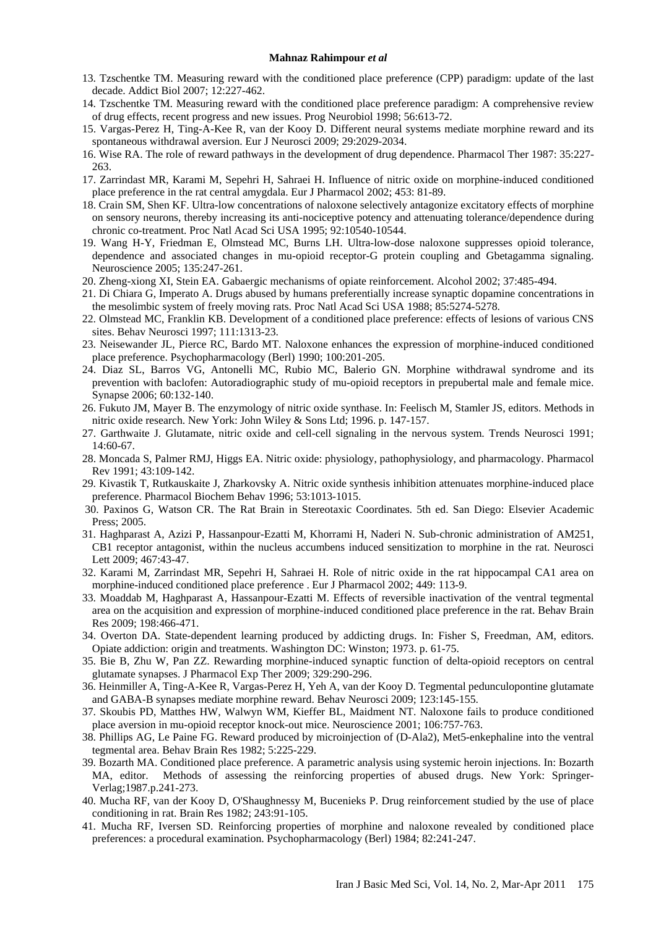#### **Mahnaz Rahimpour** *et al*

- 13. Tzschentke TM. Measuring reward with the conditioned place preference (CPP) paradigm: update of the last decade. Addict Biol 2007; 12:227-462.
- 14. Tzschentke TM. Measuring reward with the conditioned place preference paradigm: A comprehensive review of drug effects, recent progress and new issues. Prog Neurobiol 1998; 56:613-72.
- 15. Vargas-Perez H, Ting-A-Kee R, van der Kooy D. Different neural systems mediate morphine reward and its spontaneous withdrawal aversion. Eur J Neurosci 2009; 29:2029-2034.
- 16. Wise RA. The role of reward pathways in the development of drug dependence. Pharmacol Ther 1987: 35:227- 263.
- 17. Zarrindast MR, Karami M, Sepehri H, Sahraei H. Influence of nitric oxide on morphine-induced conditioned place preference in the rat central amygdala. Eur J Pharmacol 2002; 453: 81-89.
- 18. Crain SM, Shen KF. Ultra-low concentrations of naloxone selectively antagonize excitatory effects of morphine on sensory neurons, thereby increasing its anti-nociceptive potency and attenuating tolerance/dependence during chronic co-treatment. Proc Natl Acad Sci USA 1995; 92:10540-10544.
- 19. Wang H-Y, Friedman E, Olmstead MC, Burns LH. Ultra-low-dose naloxone suppresses opioid tolerance, dependence and associated changes in mu-opioid receptor-G protein coupling and Gbetagamma signaling. Neuroscience 2005; 135:247-261.
- 20. Zheng-xiong XI, Stein EA. Gabaergic mechanisms of opiate reinforcement. Alcohol 2002; 37:485-494.
- 21. Di Chiara G, Imperato A. Drugs abused by humans preferentially increase synaptic dopamine concentrations in the mesolimbic system of freely moving rats. Proc Natl Acad Sci USA 1988; 85:5274-5278.
- 22. Olmstead MC, Franklin KB. Development of a conditioned place preference: effects of lesions of various CNS sites. Behav Neurosci 1997; 111:1313-23.
- 23. Neisewander JL, Pierce RC, Bardo MT. Naloxone enhances the expression of morphine-induced conditioned place preference. Psychopharmacology (Berl) 1990; 100:201-205.
- 24. Diaz SL, Barros VG, Antonelli MC, Rubio MC, Balerio GN. Morphine withdrawal syndrome and its prevention with baclofen: Autoradiographic study of mu-opioid receptors in prepubertal male and female mice. Synapse 2006; 60:132-140.
- 26. Fukuto JM, Mayer B. The enzymology of nitric oxide synthase. In: Feelisch M, Stamler JS, editors. Methods in nitric oxide research. New York: John Wiley & Sons Ltd; 1996. p. 147-157.
- 27. Garthwaite J. Glutamate, nitric oxide and cell-cell signaling in the nervous system. Trends Neurosci 1991; 14:60-67.
- 28. Moncada S, Palmer RMJ, Higgs EA. Nitric oxide: physiology, pathophysiology, and pharmacology. Pharmacol Rev 1991; 43:109-142.
- 29. Kivastik T, Rutkauskaite J, Zharkovsky A. Nitric oxide synthesis inhibition attenuates morphine-induced place preference. Pharmacol Biochem Behav 1996; 53:1013-1015.
- 30. Paxinos G, Watson CR. The Rat Brain in Stereotaxic Coordinates. 5th ed. San Diego: Elsevier Academic Press; 2005.
- 31. Haghparast A, Azizi P, Hassanpour-Ezatti M, Khorrami H, Naderi N. Sub-chronic administration of AM251, CB1 receptor antagonist, within the nucleus accumbens induced sensitization to morphine in the rat. Neurosci Lett 2009; 467:43-47.
- 32. Karami M, Zarrindast MR, Sepehri H, Sahraei H. Role of nitric oxide in the rat hippocampal CA1 area on morphine-induced conditioned place preference . Eur J Pharmacol 2002; 449: 113-9.
- 33. Moaddab M, Haghparast A, Hassanpour-Ezatti M. Effects of reversible inactivation of the ventral tegmental area on the acquisition and expression of morphine-induced conditioned place preference in the rat. Behav Brain Res 2009; 198:466-471.
- 34. Overton DA. State-dependent learning produced by addicting drugs. In: Fisher S, Freedman, AM, editors. Opiate addiction: origin and treatments. Washington DC: Winston; 1973. p. 61-75.
- 35. Bie B, Zhu W, Pan ZZ. Rewarding morphine-induced synaptic function of delta-opioid receptors on central glutamate synapses. J Pharmacol Exp Ther 2009; 329:290-296.
- 36. Heinmiller A, Ting-A-Kee R, Vargas-Perez H, Yeh A, van der Kooy D. Tegmental pedunculopontine glutamate and GABA-B synapses mediate morphine reward. Behav Neurosci 2009; 123:145-155.
- 37. Skoubis PD, Matthes HW, Walwyn WM, Kieffer BL, Maidment NT. Naloxone fails to produce conditioned place aversion in mu-opioid receptor knock-out mice. Neuroscience 2001; 106:757-763.
- 38. Phillips AG, Le Paine FG. Reward produced by microinjection of (D-Ala2), Met5-enkephaline into the ventral tegmental area. Behav Brain Res 1982; 5:225-229.
- 39. Bozarth MA. Conditioned place preference. A parametric analysis using systemic heroin injections. In: Bozarth MA, editor. Methods of assessing the reinforcing properties of abused drugs. New York: Springer-Verlag;1987.p.241-273.
- 40. Mucha RF, van der Kooy D, O'Shaughnessy M, Bucenieks P. Drug reinforcement studied by the use of place conditioning in rat. Brain Res 1982; 243:91-105.
- 41. Mucha RF, Iversen SD. Reinforcing properties of morphine and naloxone revealed by conditioned place preferences: a procedural examination. Psychopharmacology (Berl) 1984; 82:241-247.